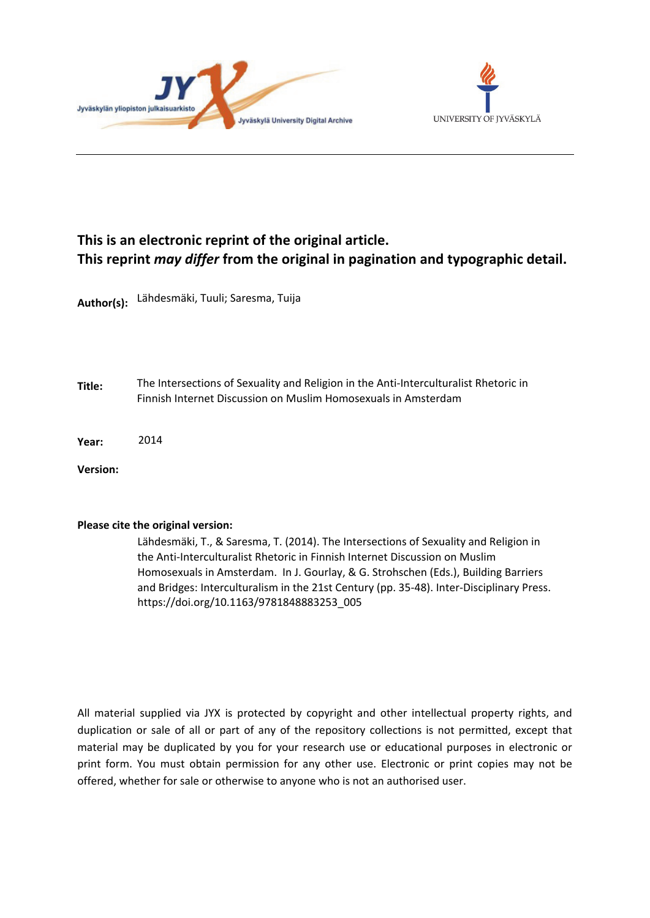



# **This is an electronic reprint of the original article. This reprint** *may differ* **from the original in pagination and typographic detail.**

**Author(s):**  Lähdesmäki, Tuuli; Saresma, Tuija

**Title:** The Intersections of Sexuality and Religion in the Anti-Interculturalist Rhetoric in Finnish Internet Discussion on Muslim Homosexuals in Amsterdam

**Year:**  2014

**Version:**

## **Please cite the original version:**

Lähdesmäki, T., & Saresma, T. (2014). The Intersections of Sexuality and Religion in the Anti-Interculturalist Rhetoric in Finnish Internet Discussion on Muslim Homosexuals in Amsterdam. In J. Gourlay, & G. Strohschen (Eds.), Building Barriers and Bridges: Interculturalism in the 21st Century (pp. 35-48). Inter-Disciplinary Press. https://doi.org/10.1163/9781848883253\_005

All material supplied via JYX is protected by copyright and other intellectual property rights, and duplication or sale of all or part of any of the repository collections is not permitted, except that material may be duplicated by you for your research use or educational purposes in electronic or print form. You must obtain permission for any other use. Electronic or print copies may not be offered, whether for sale or otherwise to anyone who is not an authorised user.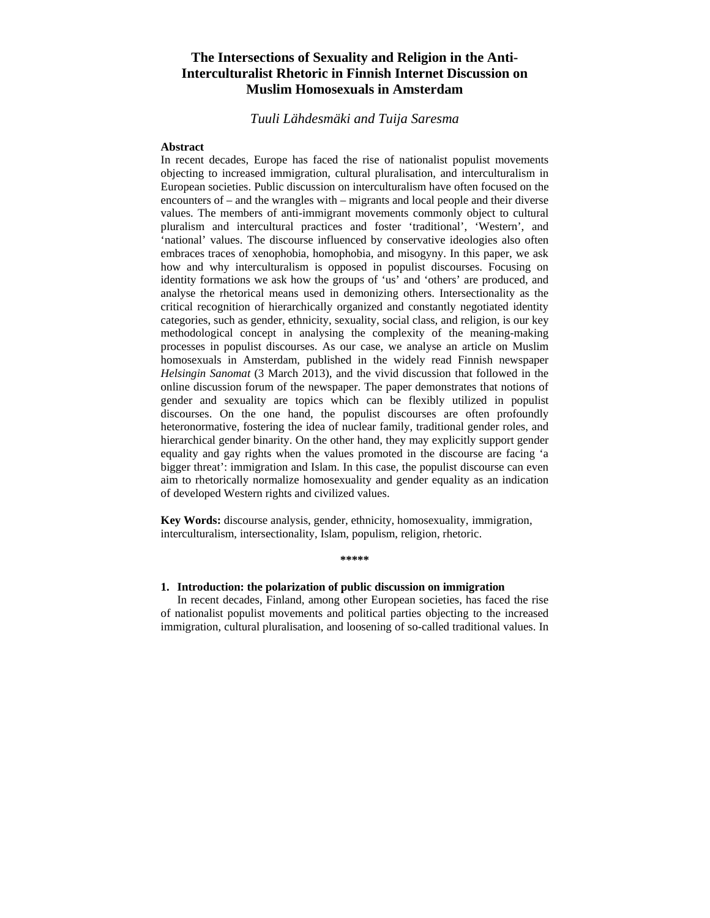## **The Intersections of Sexuality and Religion in the Anti-Interculturalist Rhetoric in Finnish Internet Discussion on Muslim Homosexuals in Amsterdam**

## *Tuuli Lähdesmäki and Tuija Saresma*

#### **Abstract**

In recent decades, Europe has faced the rise of nationalist populist movements objecting to increased immigration, cultural pluralisation, and interculturalism in European societies. Public discussion on interculturalism have often focused on the encounters of – and the wrangles with – migrants and local people and their diverse values. The members of anti-immigrant movements commonly object to cultural pluralism and intercultural practices and foster 'traditional', 'Western', and 'national' values. The discourse influenced by conservative ideologies also often embraces traces of xenophobia, homophobia, and misogyny. In this paper, we ask how and why interculturalism is opposed in populist discourses. Focusing on identity formations we ask how the groups of 'us' and 'others' are produced, and analyse the rhetorical means used in demonizing others. Intersectionality as the critical recognition of hierarchically organized and constantly negotiated identity categories, such as gender, ethnicity, sexuality, social class, and religion, is our key methodological concept in analysing the complexity of the meaning-making processes in populist discourses. As our case, we analyse an article on Muslim homosexuals in Amsterdam, published in the widely read Finnish newspaper *Helsingin Sanomat* (3 March 2013), and the vivid discussion that followed in the online discussion forum of the newspaper. The paper demonstrates that notions of gender and sexuality are topics which can be flexibly utilized in populist discourses. On the one hand, the populist discourses are often profoundly heteronormative, fostering the idea of nuclear family, traditional gender roles, and hierarchical gender binarity. On the other hand, they may explicitly support gender equality and gay rights when the values promoted in the discourse are facing 'a bigger threat': immigration and Islam. In this case, the populist discourse can even aim to rhetorically normalize homosexuality and gender equality as an indication of developed Western rights and civilized values.

**Key Words:** discourse analysis, gender, ethnicity, homosexuality, immigration, interculturalism, intersectionality, Islam, populism, religion, rhetoric.

# **\*\*\*\*\***

### **1. Introduction: the polarization of public discussion on immigration**

 In recent decades, Finland, among other European societies, has faced the rise of nationalist populist movements and political parties objecting to the increased immigration, cultural pluralisation, and loosening of so-called traditional values. In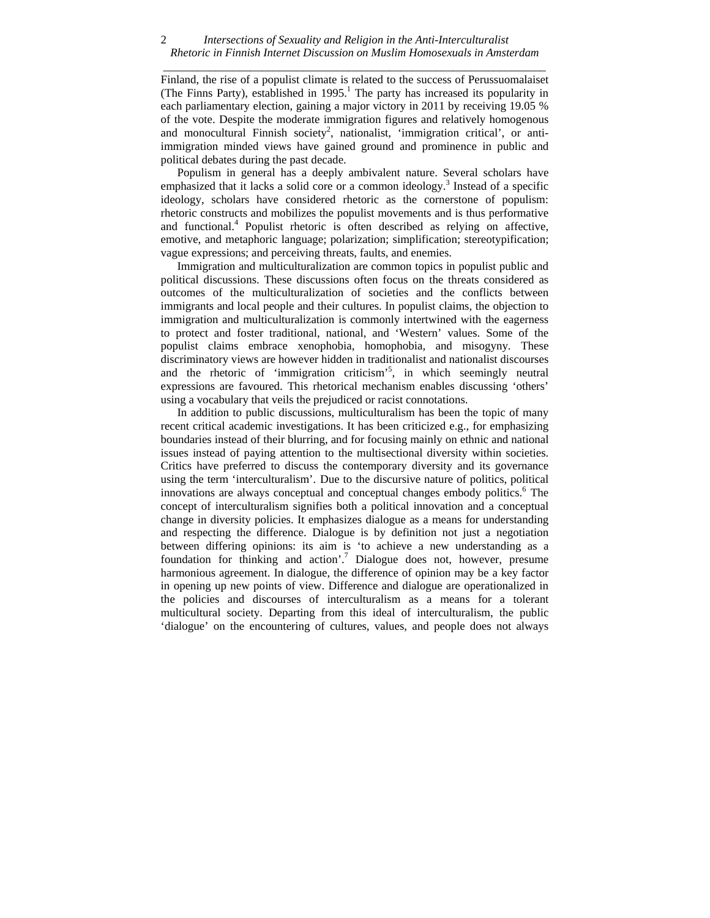#### *Intersections of Sexuality and Religion in the Anti-Interculturalist Rhetoric in Finnish Internet Discussion on Muslim Homosexuals in Amsterdam \_\_\_\_\_\_\_\_\_\_\_\_\_\_\_\_\_\_\_\_\_\_\_\_\_\_\_\_\_\_\_\_\_\_\_\_\_\_\_\_\_\_\_\_\_\_\_\_\_\_\_\_\_\_\_\_\_\_\_\_\_\_\_\_\_\_*  2

Finland, the rise of a populist climate is related to the success of Perussuomalaiset (The Finns Party), established in 1995.<sup>1</sup> The party has increased its popularity in each parliamentary election, gaining a major victory in 2011 by receiving 19.05 % of the vote. Despite the moderate immigration figures and relatively homogenous and monocultural Finnish society<sup>2</sup>, nationalist, 'immigration critical', or antiimmigration minded views have gained ground and prominence in public and political debates during the past decade.

 Populism in general has a deeply ambivalent nature. Several scholars have emphasized that it lacks a solid core or a common ideology.<sup>3</sup> Instead of a specific ideology, scholars have considered rhetoric as the cornerstone of populism: rhetoric constructs and mobilizes the populist movements and is thus performative and functional.<sup>4</sup> Populist rhetoric is often described as relying on affective, emotive, and metaphoric language; polarization; simplification; stereotypification; vague expressions; and perceiving threats, faults, and enemies.

 Immigration and multiculturalization are common topics in populist public and political discussions. These discussions often focus on the threats considered as outcomes of the multiculturalization of societies and the conflicts between immigrants and local people and their cultures. In populist claims, the objection to immigration and multiculturalization is commonly intertwined with the eagerness to protect and foster traditional, national, and 'Western' values. Some of the populist claims embrace xenophobia, homophobia, and misogyny. These discriminatory views are however hidden in traditionalist and nationalist discourses and the rhetoric of 'immigration criticism'<sup>5</sup>, in which seemingly neutral expressions are favoured. This rhetorical mechanism enables discussing 'others' using a vocabulary that veils the prejudiced or racist connotations.

 In addition to public discussions, multiculturalism has been the topic of many recent critical academic investigations. It has been criticized e.g., for emphasizing boundaries instead of their blurring, and for focusing mainly on ethnic and national issues instead of paying attention to the multisectional diversity within societies. Critics have preferred to discuss the contemporary diversity and its governance using the term 'interculturalism'. Due to the discursive nature of politics, political innovations are always conceptual and conceptual changes embody politics.<sup>6</sup> The concept of interculturalism signifies both a political innovation and a conceptual change in diversity policies. It emphasizes dialogue as a means for understanding and respecting the difference. Dialogue is by definition not just a negotiation between differing opinions: its aim is 'to achieve a new understanding as a foundation for thinking and action'.7 Dialogue does not, however, presume harmonious agreement. In dialogue, the difference of opinion may be a key factor in opening up new points of view. Difference and dialogue are operationalized in the policies and discourses of interculturalism as a means for a tolerant multicultural society. Departing from this ideal of interculturalism, the public 'dialogue' on the encountering of cultures, values, and people does not always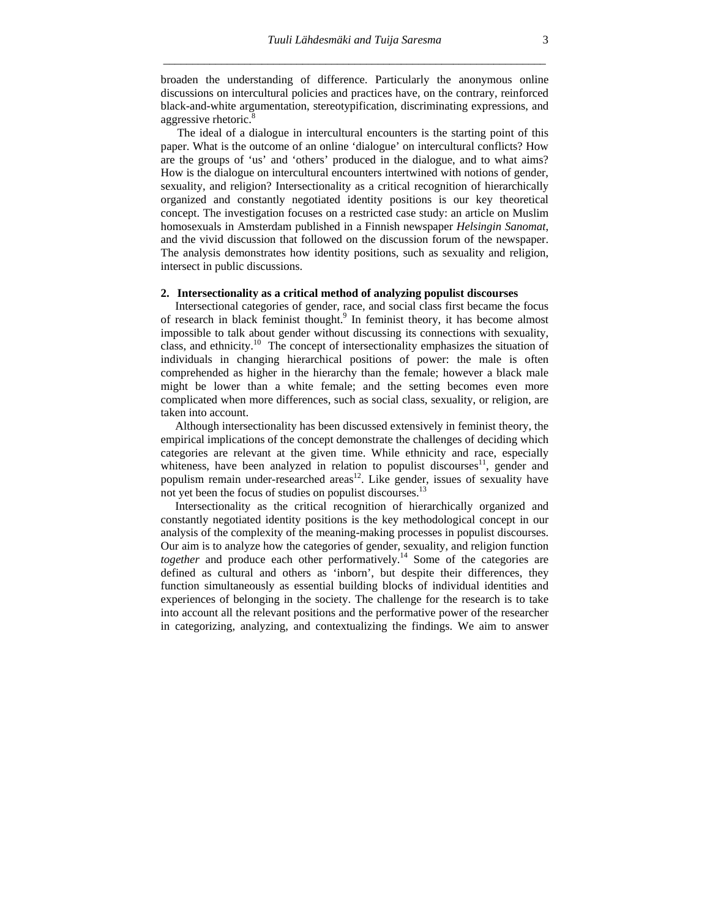broaden the understanding of difference. Particularly the anonymous online discussions on intercultural policies and practices have, on the contrary, reinforced black-and-white argumentation, stereotypification, discriminating expressions, and aggressive rhetoric.<sup>8</sup>

 The ideal of a dialogue in intercultural encounters is the starting point of this paper. What is the outcome of an online 'dialogue' on intercultural conflicts? How are the groups of 'us' and 'others' produced in the dialogue, and to what aims? How is the dialogue on intercultural encounters intertwined with notions of gender, sexuality, and religion? Intersectionality as a critical recognition of hierarchically organized and constantly negotiated identity positions is our key theoretical concept. The investigation focuses on a restricted case study: an article on Muslim homosexuals in Amsterdam published in a Finnish newspaper *Helsingin Sanomat*, and the vivid discussion that followed on the discussion forum of the newspaper. The analysis demonstrates how identity positions, such as sexuality and religion, intersect in public discussions.

#### **2. Intersectionality as a critical method of analyzing populist discourses**

 Intersectional categories of gender, race, and social class first became the focus of research in black feminist thought.<sup>9</sup> In feminist theory, it has become almost impossible to talk about gender without discussing its connections with sexuality, class, and ethnicity.<sup>10</sup> The concept of intersectionality emphasizes the situation of individuals in changing hierarchical positions of power: the male is often comprehended as higher in the hierarchy than the female; however a black male might be lower than a white female; and the setting becomes even more complicated when more differences, such as social class, sexuality, or religion, are taken into account.

 Although intersectionality has been discussed extensively in feminist theory, the empirical implications of the concept demonstrate the challenges of deciding which categories are relevant at the given time. While ethnicity and race, especially whiteness, have been analyzed in relation to populist discourses<sup>11</sup>, gender and populism remain under-researched areas<sup>12</sup>. Like gender, issues of sexuality have not yet been the focus of studies on populist discourses.<sup>13</sup>

 Intersectionality as the critical recognition of hierarchically organized and constantly negotiated identity positions is the key methodological concept in our analysis of the complexity of the meaning-making processes in populist discourses. Our aim is to analyze how the categories of gender, sexuality, and religion function *together* and produce each other performatively.<sup>14</sup> Some of the categories are defined as cultural and others as 'inborn', but despite their differences, they function simultaneously as essential building blocks of individual identities and experiences of belonging in the society. The challenge for the research is to take into account all the relevant positions and the performative power of the researcher in categorizing, analyzing, and contextualizing the findings. We aim to answer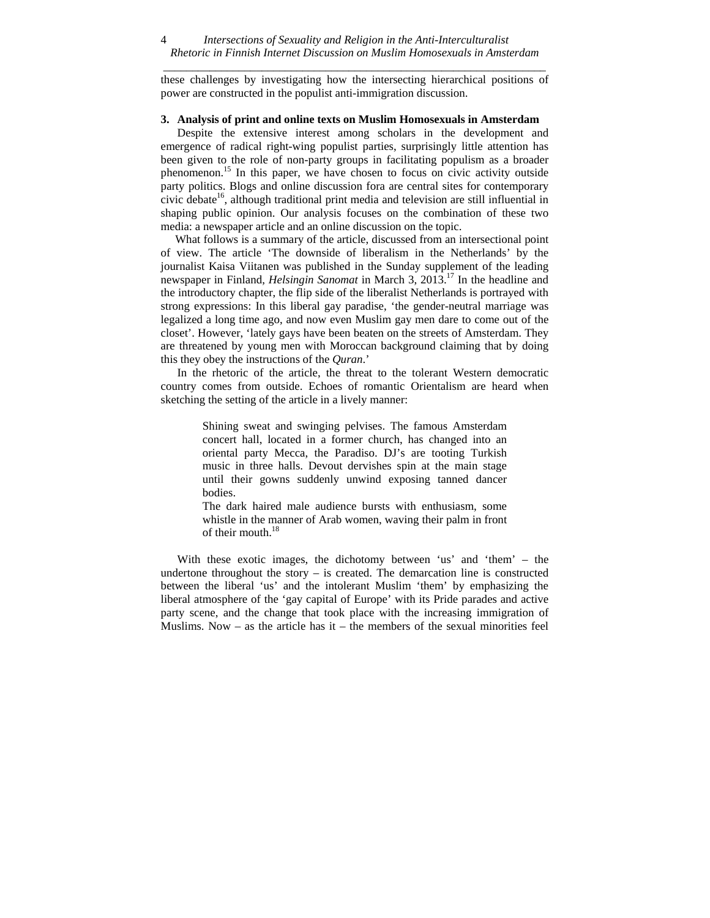*\_\_\_\_\_\_\_\_\_\_\_\_\_\_\_\_\_\_\_\_\_\_\_\_\_\_\_\_\_\_\_\_\_\_\_\_\_\_\_\_\_\_\_\_\_\_\_\_\_\_\_\_\_\_\_\_\_\_\_\_\_\_\_\_\_\_*  these challenges by investigating how the intersecting hierarchical positions of power are constructed in the populist anti-immigration discussion.

#### **3. Analysis of print and online texts on Muslim Homosexuals in Amsterdam**

 Despite the extensive interest among scholars in the development and emergence of radical right-wing populist parties, surprisingly little attention has been given to the role of non-party groups in facilitating populism as a broader phenomenon.<sup>15</sup> In this paper, we have chosen to focus on civic activity outside party politics. Blogs and online discussion fora are central sites for contemporary civic debate<sup>16</sup>, although traditional print media and television are still influential in shaping public opinion. Our analysis focuses on the combination of these two media: a newspaper article and an online discussion on the topic.

 What follows is a summary of the article, discussed from an intersectional point of view. The article 'The downside of liberalism in the Netherlands' by the journalist Kaisa Viitanen was published in the Sunday supplement of the leading newspaper in Finland, *Helsingin Sanomat* in March 3, 2013.<sup>17</sup> In the headline and the introductory chapter, the flip side of the liberalist Netherlands is portrayed with strong expressions: In this liberal gay paradise, 'the gender-neutral marriage was legalized a long time ago, and now even Muslim gay men dare to come out of the closet'. However, 'lately gays have been beaten on the streets of Amsterdam. They are threatened by young men with Moroccan background claiming that by doing this they obey the instructions of the *Quran*.'

 In the rhetoric of the article, the threat to the tolerant Western democratic country comes from outside. Echoes of romantic Orientalism are heard when sketching the setting of the article in a lively manner:

> Shining sweat and swinging pelvises. The famous Amsterdam concert hall, located in a former church, has changed into an oriental party Mecca, the Paradiso. DJ's are tooting Turkish music in three halls. Devout dervishes spin at the main stage until their gowns suddenly unwind exposing tanned dancer bodies.

> The dark haired male audience bursts with enthusiasm, some whistle in the manner of Arab women, waving their palm in front of their mouth.<sup>18</sup>

 With these exotic images, the dichotomy between 'us' and 'them' – the undertone throughout the story  $-$  is created. The demarcation line is constructed between the liberal 'us' and the intolerant Muslim 'them' by emphasizing the liberal atmosphere of the 'gay capital of Europe' with its Pride parades and active party scene, and the change that took place with the increasing immigration of Muslims. Now  $-$  as the article has it  $-$  the members of the sexual minorities feel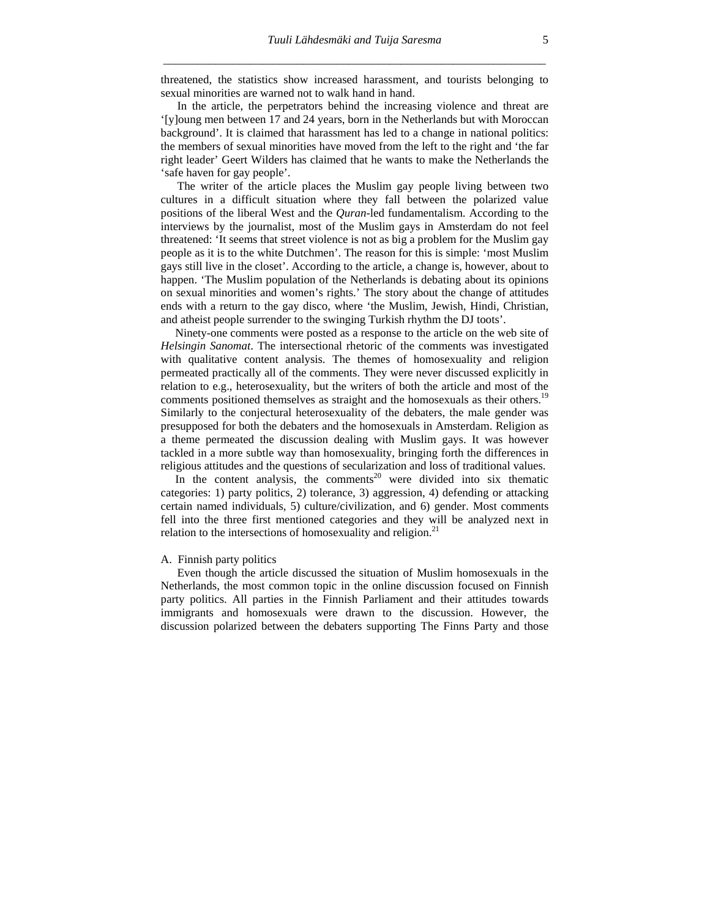threatened, the statistics show increased harassment, and tourists belonging to sexual minorities are warned not to walk hand in hand.

 In the article, the perpetrators behind the increasing violence and threat are '[y]oung men between 17 and 24 years, born in the Netherlands but with Moroccan background'. It is claimed that harassment has led to a change in national politics: the members of sexual minorities have moved from the left to the right and 'the far right leader' Geert Wilders has claimed that he wants to make the Netherlands the 'safe haven for gay people'.

 The writer of the article places the Muslim gay people living between two cultures in a difficult situation where they fall between the polarized value positions of the liberal West and the *Quran*-led fundamentalism. According to the interviews by the journalist, most of the Muslim gays in Amsterdam do not feel threatened: 'It seems that street violence is not as big a problem for the Muslim gay people as it is to the white Dutchmen'. The reason for this is simple: 'most Muslim gays still live in the closet'. According to the article, a change is, however, about to happen. 'The Muslim population of the Netherlands is debating about its opinions on sexual minorities and women's rights.' The story about the change of attitudes ends with a return to the gay disco, where 'the Muslim, Jewish, Hindi, Christian, and atheist people surrender to the swinging Turkish rhythm the DJ toots'.

 Ninety-one comments were posted as a response to the article on the web site of *Helsingin Sanomat*. The intersectional rhetoric of the comments was investigated with qualitative content analysis. The themes of homosexuality and religion permeated practically all of the comments. They were never discussed explicitly in relation to e.g., heterosexuality, but the writers of both the article and most of the comments positioned themselves as straight and the homosexuals as their others.<sup>19</sup> Similarly to the conjectural heterosexuality of the debaters, the male gender was presupposed for both the debaters and the homosexuals in Amsterdam. Religion as a theme permeated the discussion dealing with Muslim gays. It was however tackled in a more subtle way than homosexuality, bringing forth the differences in religious attitudes and the questions of secularization and loss of traditional values.

In the content analysis, the comments<sup>20</sup> were divided into six thematic categories: 1) party politics, 2) tolerance, 3) aggression, 4) defending or attacking certain named individuals, 5) culture/civilization, and 6) gender. Most comments fell into the three first mentioned categories and they will be analyzed next in relation to the intersections of homosexuality and religion. $21$ 

#### A. Finnish party politics

 Even though the article discussed the situation of Muslim homosexuals in the Netherlands, the most common topic in the online discussion focused on Finnish party politics. All parties in the Finnish Parliament and their attitudes towards immigrants and homosexuals were drawn to the discussion. However, the discussion polarized between the debaters supporting The Finns Party and those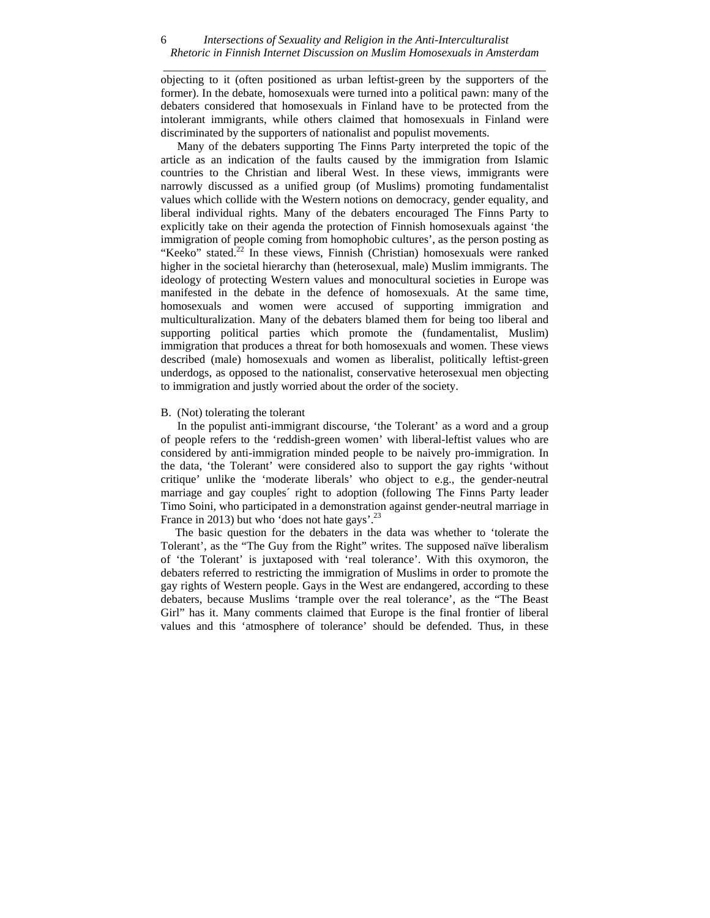#### *Intersections of Sexuality and Religion in the Anti-Interculturalist Rhetoric in Finnish Internet Discussion on Muslim Homosexuals in Amsterdam \_\_\_\_\_\_\_\_\_\_\_\_\_\_\_\_\_\_\_\_\_\_\_\_\_\_\_\_\_\_\_\_\_\_\_\_\_\_\_\_\_\_\_\_\_\_\_\_\_\_\_\_\_\_\_\_\_\_\_\_\_\_\_\_\_\_*  6

objecting to it (often positioned as urban leftist-green by the supporters of the former). In the debate, homosexuals were turned into a political pawn: many of the debaters considered that homosexuals in Finland have to be protected from the intolerant immigrants, while others claimed that homosexuals in Finland were discriminated by the supporters of nationalist and populist movements.

 Many of the debaters supporting The Finns Party interpreted the topic of the article as an indication of the faults caused by the immigration from Islamic countries to the Christian and liberal West. In these views, immigrants were narrowly discussed as a unified group (of Muslims) promoting fundamentalist values which collide with the Western notions on democracy, gender equality, and liberal individual rights. Many of the debaters encouraged The Finns Party to explicitly take on their agenda the protection of Finnish homosexuals against 'the immigration of people coming from homophobic cultures', as the person posting as "Keeko" stated. $22$  In these views, Finnish (Christian) homosexuals were ranked higher in the societal hierarchy than (heterosexual, male) Muslim immigrants. The ideology of protecting Western values and monocultural societies in Europe was manifested in the debate in the defence of homosexuals. At the same time, homosexuals and women were accused of supporting immigration and multiculturalization. Many of the debaters blamed them for being too liberal and supporting political parties which promote the (fundamentalist, Muslim) immigration that produces a threat for both homosexuals and women. These views described (male) homosexuals and women as liberalist, politically leftist-green underdogs, as opposed to the nationalist, conservative heterosexual men objecting to immigration and justly worried about the order of the society.

#### B. (Not) tolerating the tolerant

 In the populist anti-immigrant discourse, 'the Tolerant' as a word and a group of people refers to the 'reddish-green women' with liberal-leftist values who are considered by anti-immigration minded people to be naively pro-immigration. In the data, 'the Tolerant' were considered also to support the gay rights 'without critique' unlike the 'moderate liberals' who object to e.g., the gender-neutral marriage and gay couples´ right to adoption (following The Finns Party leader Timo Soini, who participated in a demonstration against gender-neutral marriage in France in 2013) but who 'does not hate gays'.<sup>23</sup>

 The basic question for the debaters in the data was whether to 'tolerate the Tolerant', as the "The Guy from the Right" writes. The supposed naïve liberalism of 'the Tolerant' is juxtaposed with 'real tolerance'. With this oxymoron, the debaters referred to restricting the immigration of Muslims in order to promote the gay rights of Western people. Gays in the West are endangered, according to these debaters, because Muslims 'trample over the real tolerance', as the "The Beast Girl" has it. Many comments claimed that Europe is the final frontier of liberal values and this 'atmosphere of tolerance' should be defended. Thus, in these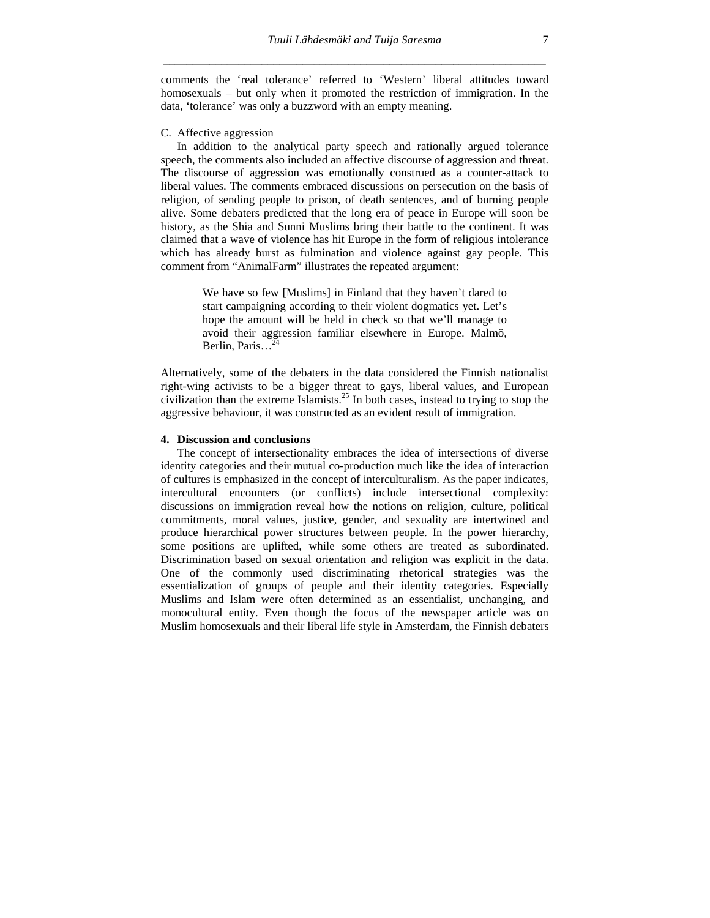comments the 'real tolerance' referred to 'Western' liberal attitudes toward homosexuals – but only when it promoted the restriction of immigration. In the data, 'tolerance' was only a buzzword with an empty meaning.

### C. Affective aggression

 In addition to the analytical party speech and rationally argued tolerance speech, the comments also included an affective discourse of aggression and threat. The discourse of aggression was emotionally construed as a counter-attack to liberal values. The comments embraced discussions on persecution on the basis of religion, of sending people to prison, of death sentences, and of burning people alive. Some debaters predicted that the long era of peace in Europe will soon be history, as the Shia and Sunni Muslims bring their battle to the continent. It was claimed that a wave of violence has hit Europe in the form of religious intolerance which has already burst as fulmination and violence against gay people. This comment from "AnimalFarm" illustrates the repeated argument:

> We have so few [Muslims] in Finland that they haven't dared to start campaigning according to their violent dogmatics yet. Let's hope the amount will be held in check so that we'll manage to avoid their aggression familiar elsewhere in Europe. Malmö, Berlin, Paris...<sup>24</sup>

Alternatively, some of the debaters in the data considered the Finnish nationalist right-wing activists to be a bigger threat to gays, liberal values, and European civilization than the extreme Islamists.<sup>25</sup> In both cases, instead to trying to stop the aggressive behaviour, it was constructed as an evident result of immigration.

#### **4. Discussion and conclusions**

The concept of intersectionality embraces the idea of intersections of diverse identity categories and their mutual co-production much like the idea of interaction of cultures is emphasized in the concept of interculturalism. As the paper indicates, intercultural encounters (or conflicts) include intersectional complexity: discussions on immigration reveal how the notions on religion, culture, political commitments, moral values, justice, gender, and sexuality are intertwined and produce hierarchical power structures between people. In the power hierarchy, some positions are uplifted, while some others are treated as subordinated. Discrimination based on sexual orientation and religion was explicit in the data. One of the commonly used discriminating rhetorical strategies was the essentialization of groups of people and their identity categories. Especially Muslims and Islam were often determined as an essentialist, unchanging, and monocultural entity. Even though the focus of the newspaper article was on Muslim homosexuals and their liberal life style in Amsterdam, the Finnish debaters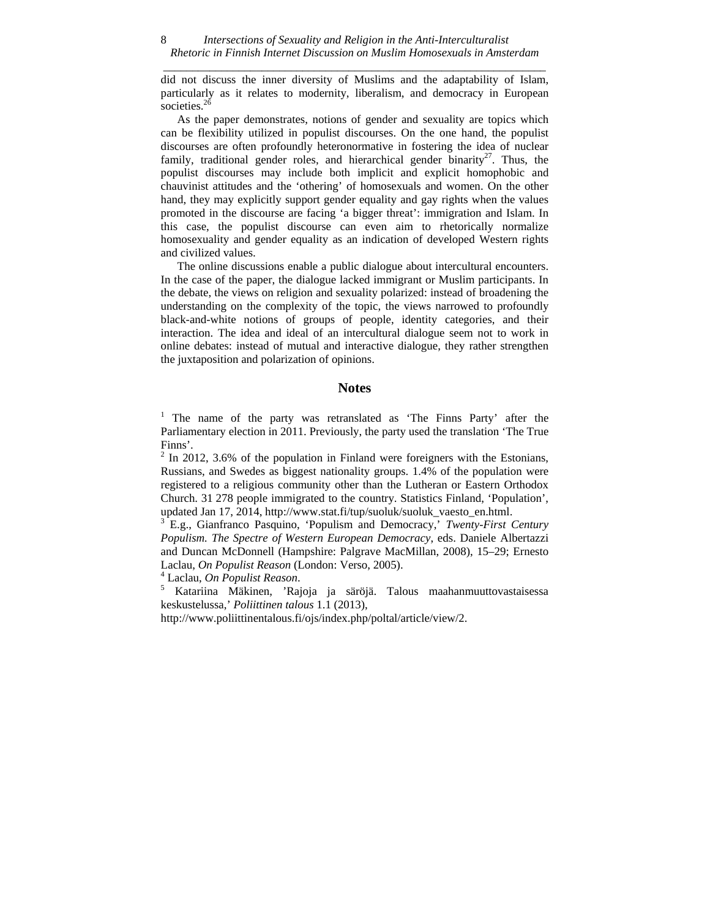did not discuss the inner diversity of Muslims and the adaptability of Islam, particularly as it relates to modernity, liberalism, and democracy in European societies.<sup>26</sup>

As the paper demonstrates, notions of gender and sexuality are topics which can be flexibility utilized in populist discourses. On the one hand, the populist discourses are often profoundly heteronormative in fostering the idea of nuclear family, traditional gender roles, and hierarchical gender binarity<sup>27</sup>. Thus, the populist discourses may include both implicit and explicit homophobic and chauvinist attitudes and the 'othering' of homosexuals and women. On the other hand, they may explicitly support gender equality and gay rights when the values promoted in the discourse are facing 'a bigger threat': immigration and Islam. In this case, the populist discourse can even aim to rhetorically normalize homosexuality and gender equality as an indication of developed Western rights and civilized values.

The online discussions enable a public dialogue about intercultural encounters. In the case of the paper, the dialogue lacked immigrant or Muslim participants. In the debate, the views on religion and sexuality polarized: instead of broadening the understanding on the complexity of the topic, the views narrowed to profoundly black-and-white notions of groups of people, identity categories, and their interaction. The idea and ideal of an intercultural dialogue seem not to work in online debates: instead of mutual and interactive dialogue, they rather strengthen the juxtaposition and polarization of opinions.

#### **Notes**

<sup>1</sup> The name of the party was retranslated as 'The Finns Party' after the Parliamentary election in 2011. Previously, the party used the translation 'The True Finns'.

 $2 \text{ In } 2012, 3.6\%$  of the population in Finland were foreigners with the Estonians, Russians, and Swedes as biggest nationality groups. 1.4% of the population were registered to a religious community other than the Lutheran or Eastern Orthodox Church. 31 278 people immigrated to the country. Statistics Finland, 'Population', updated Jan 17, 2014, http://www.stat.fi/tup/suoluk/suoluk\_vaesto\_en.html.

3 E.g., Gianfranco Pasquino, 'Populism and Democracy,' *Twenty-First Century Populism. The Spectre of Western European Democracy*, eds. Daniele Albertazzi and Duncan McDonnell (Hampshire: Palgrave MacMillan, 2008), 15–29; Ernesto Laclau, *On Populist Reason* (London: Verso, 2005). 4

Laclau, *On Populist Reason*. 5

 Katariina Mäkinen, 'Rajoja ja säröjä. Talous maahanmuuttovastaisessa keskustelussa,' *Poliittinen talous* 1.1 (2013),

http://www.poliittinentalous.fi/ojs/index.php/poltal/article/view/2.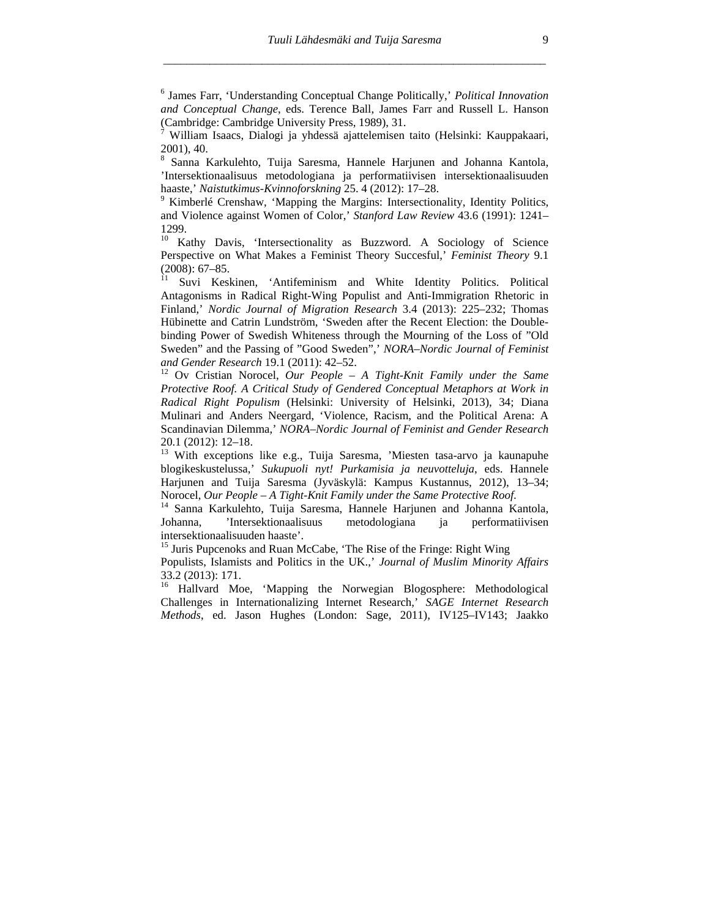6 James Farr, 'Understanding Conceptual Change Politically,' *Political Innovation and Conceptual Change*, eds. Terence Ball, James Farr and Russell L. Hanson (Cambridge: Cambridge University Press, 1989), 31.

7 William Isaacs, Dialogi ja yhdessä ajattelemisen taito (Helsinki: Kauppakaari, 2001), 40.

8 Sanna Karkulehto, Tuija Saresma, Hannele Harjunen and Johanna Kantola, 'Intersektionaalisuus metodologiana ja performatiivisen intersektionaalisuuden haaste,' *Naistutkimus-Kvinnoforskning* 25. 4 (2012): 17–28. 9

 $9$  Kimberlé Crenshaw, 'Mapping the Margins: Intersectionality, Identity Politics, and Violence against Women of Color,' *Stanford Law Review* 43.6 (1991): 1241– 1299.

<sup>10</sup> Kathy Davis, 'Intersectionality as Buzzword. A Sociology of Science Perspective on What Makes a Feminist Theory Succesful,' *Feminist Theory* 9.1 (2008): 67–85.

11 Suvi Keskinen, 'Antifeminism and White Identity Politics. Political Antagonisms in Radical Right-Wing Populist and Anti-Immigration Rhetoric in Finland,' *Nordic Journal of Migration Research* 3.4 (2013): 225–232; Thomas Hübinette and Catrin Lundström, 'Sweden after the Recent Election: the Doublebinding Power of Swedish Whiteness through the Mourning of the Loss of "Old Sweden" and the Passing of "Good Sweden",' *NORA–Nordic Journal of Feminist and Gender Research* 19.1 (2011): 42–52.

<sup>12</sup> Ov Cristian Norocel, *Our People – A Tight-Knit Family under the Same* Protective Roof. A Critical Study of Gendered Conceptual Metaphors at Work in *Radical Right Populism* (Helsinki: University of Helsinki, 2013), 34; Diana Mulinari and Anders Neergard, 'Violence, Racism, and the Political Arena: A Scandinavian Dilemma,' *NORA–Nordic Journal of Feminist and Gender Research* 20.1 (2012): 12–18.

13 With exceptions like e.g., Tuija Saresma, 'Miesten tasa-arvo ja kaunapuhe blogikeskustelussa,' *Sukupuoli nyt! Purkamisia ja neuvotteluja*, eds. Hannele Harjunen and Tuija Saresma (Jyväskylä: Kampus Kustannus, 2012), 13–34; Norocel, *Our People – A Tight-Knit Family under the Same Protective Roof.* <sup>14</sup> Sanna Karkulehto, Tuija Saresma, Hannele Harjunen and Johanna Kantola,

Johanna, 'Intersektionaalisuus metodologiana ja performatiivisen intersektionaalisuuden haaste'.

<sup>15</sup> Juris Pupcenoks and Ruan McCabe, 'The Rise of the Fringe: Right Wing

Populists, Islamists and Politics in the UK.,' *Journal of Muslim Minority Affairs* 33.2 (2013): 171.

<sup>16</sup> Hallvard Moe, 'Mapping the Norwegian Blogosphere: Methodological Challenges in Internationalizing Internet Research,' *SAGE Internet Research Methods*, ed. Jason Hughes (London: Sage, 2011), IV125–IV143; Jaakko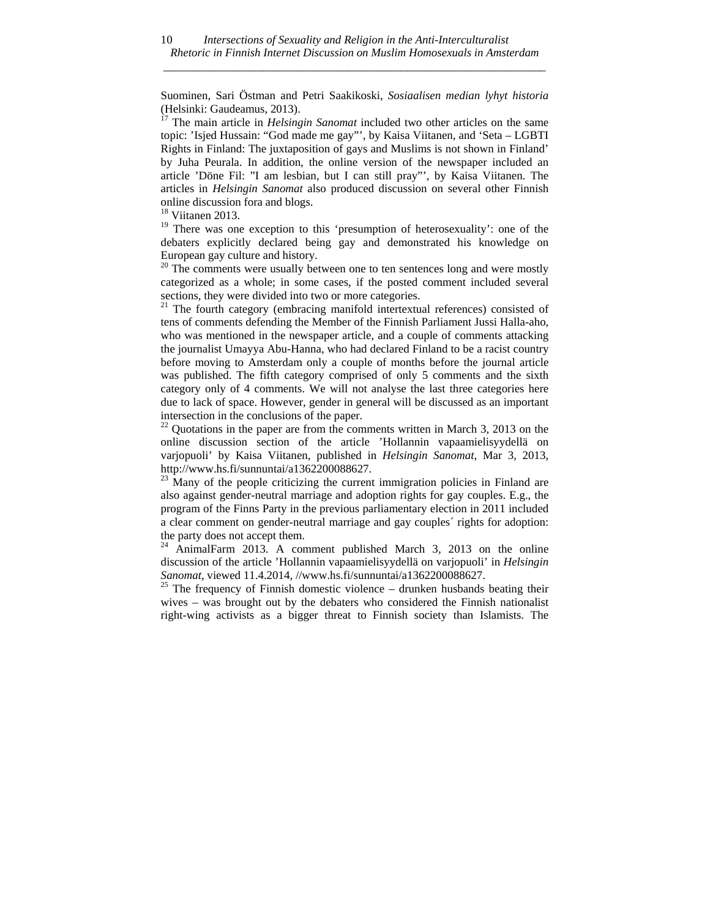Suominen, Sari Östman and Petri Saakikoski, *Sosiaalisen median lyhyt historia* (Helsinki: Gaudeamus, 2013).

 $17$  The main article in *Helsingin Sanomat* included two other articles on the same topic: 'Isjed Hussain: "God made me gay"', by Kaisa Viitanen, and 'Seta – LGBTI Rights in Finland: The juxtaposition of gays and Muslims is not shown in Finland' by Juha Peurala. In addition, the online version of the newspaper included an article 'Döne Fil: "I am lesbian, but I can still pray"', by Kaisa Viitanen. The articles in *Helsingin Sanomat* also produced discussion on several other Finnish online discussion fora and blogs.

<sup>18</sup> Viitanen 2013.

 $19$  There was one exception to this 'presumption of heterosexuality': one of the debaters explicitly declared being gay and demonstrated his knowledge on European gay culture and history.

 $20$  The comments were usually between one to ten sentences long and were mostly categorized as a whole; in some cases, if the posted comment included several sections, they were divided into two or more categories.

 $21$  The fourth category (embracing manifold intertextual references) consisted of tens of comments defending the Member of the Finnish Parliament Jussi Halla-aho, who was mentioned in the newspaper article, and a couple of comments attacking the journalist Umayya Abu-Hanna, who had declared Finland to be a racist country before moving to Amsterdam only a couple of months before the journal article was published. The fifth category comprised of only 5 comments and the sixth category only of 4 comments. We will not analyse the last three categories here due to lack of space. However, gender in general will be discussed as an important intersection in the conclusions of the paper.

 $^{22}$  Quotations in the paper are from the comments written in March 3, 2013 on the online discussion section of the article 'Hollannin vapaamielisyydellä on varjopuoli' by Kaisa Viitanen, published in *Helsingin Sanomat*, Mar 3, 2013, http://www.hs.fi/sunnuntai/a1362200088627.<br><sup>23</sup> Many of the people criticizing the current immigration policies in Finland are

also against gender-neutral marriage and adoption rights for gay couples. E.g., the program of the Finns Party in the previous parliamentary election in 2011 included a clear comment on gender-neutral marriage and gay couples´ rights for adoption: the party does not accept them.

 $^{24}$  AnimalFarm 2013. A comment published March 3, 2013 on the online discussion of the article 'Hollannin vapaamielisyydellä on varjopuoli' in *Helsingin Sanomat*, viewed 11.4.2014, //www.hs.fi/sunnuntai/a1362200088627. 25 The frequency of Finnish domestic violence – drunken husbands beating their

wives – was brought out by the debaters who considered the Finnish nationalist right-wing activists as a bigger threat to Finnish society than Islamists. The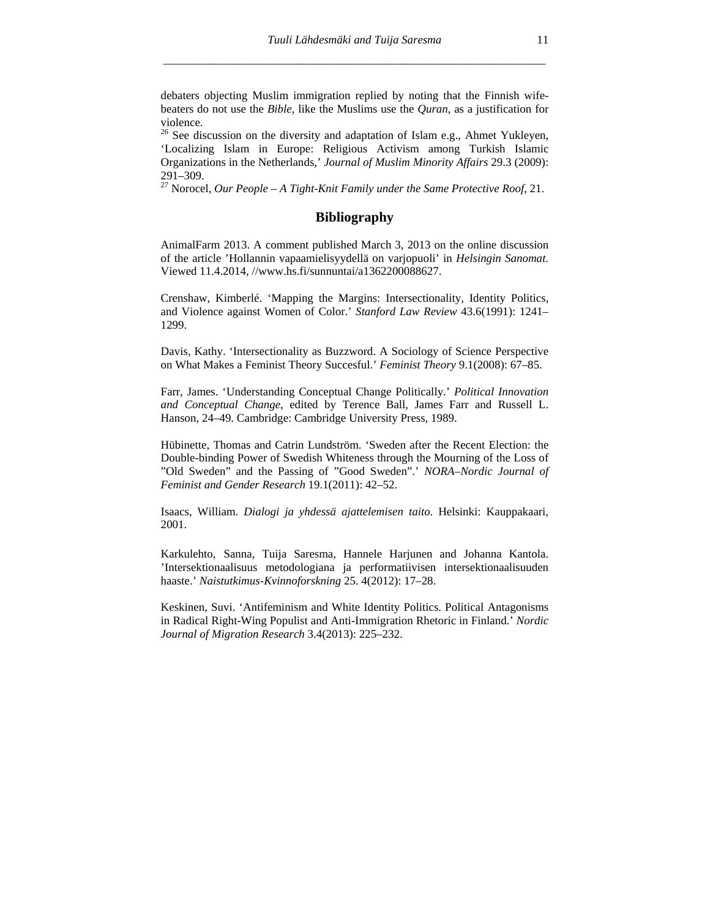debaters objecting Muslim immigration replied by noting that the Finnish wifebeaters do not use the *Bible*, like the Muslims use the *Quran*, as a justification for violence.

<sup>26</sup> See discussion on the diversity and adaptation of Islam e.g., Ahmet Yukleyen, 'Localizing Islam in Europe: Religious Activism among Turkish Islamic Organizations in the Netherlands,' *Journal of Muslim Minority Affairs* 29.3 (2009): 291–309.

27 Norocel, *Our People – A Tight-Knit Family under the Same Protective Roof*, 21.

## **Bibliography**

AnimalFarm 2013. A comment published March 3, 2013 on the online discussion of the article 'Hollannin vapaamielisyydellä on varjopuoli' in *Helsingin Sanomat*. Viewed 11.4.2014, //www.hs.fi/sunnuntai/a1362200088627.

Crenshaw, Kimberlé. 'Mapping the Margins: Intersectionality, Identity Politics, and Violence against Women of Color.' *Stanford Law Review* 43.6(1991): 1241– 1299.

Davis, Kathy. 'Intersectionality as Buzzword. A Sociology of Science Perspective on What Makes a Feminist Theory Succesful.' *Feminist Theory* 9.1(2008): 67–85.

Farr, James. 'Understanding Conceptual Change Politically.' *Political Innovation and Conceptual Change*, edited by Terence Ball, James Farr and Russell L. Hanson, 24–49. Cambridge: Cambridge University Press, 1989.

Hübinette, Thomas and Catrin Lundström. 'Sweden after the Recent Election: the Double-binding Power of Swedish Whiteness through the Mourning of the Loss of "Old Sweden" and the Passing of "Good Sweden".' *NORA–Nordic Journal of Feminist and Gender Research* 19.1(2011): 42–52.

Isaacs, William. *Dialogi ja yhdessä ajattelemisen taito*. Helsinki: Kauppakaari, 2001.

Karkulehto, Sanna, Tuija Saresma, Hannele Harjunen and Johanna Kantola. 'Intersektionaalisuus metodologiana ja performatiivisen intersektionaalisuuden haaste.' *Naistutkimus-Kvinnoforskning* 25. 4(2012): 17–28.

Keskinen, Suvi. 'Antifeminism and White Identity Politics. Political Antagonisms in Radical Right-Wing Populist and Anti-Immigration Rhetoric in Finland.' *Nordic Journal of Migration Research* 3.4(2013): 225–232.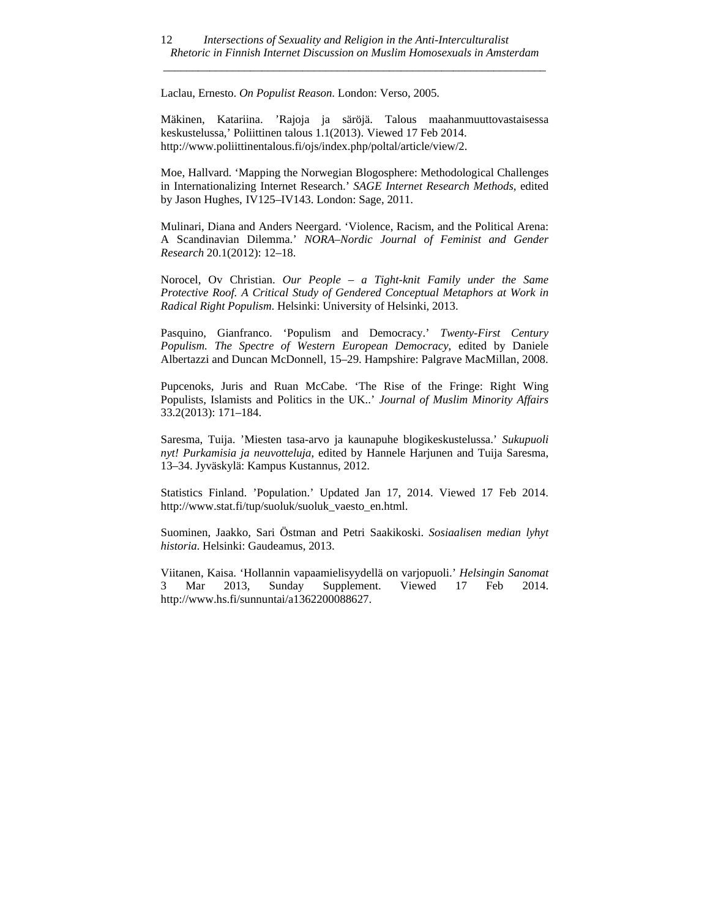Laclau, Ernesto. *On Populist Reason*. London: Verso, 2005.

Mäkinen, Katariina. 'Rajoja ja säröjä. Talous maahanmuuttovastaisessa keskustelussa,' Poliittinen talous 1.1(2013). Viewed 17 Feb 2014. http://www.poliittinentalous.fi/ojs/index.php/poltal/article/view/2.

Moe, Hallvard. 'Mapping the Norwegian Blogosphere: Methodological Challenges in Internationalizing Internet Research.' *SAGE Internet Research Methods*, edited by Jason Hughes, IV125–IV143. London: Sage, 2011.

Mulinari, Diana and Anders Neergard. 'Violence, Racism, and the Political Arena: A Scandinavian Dilemma.' *NORA–Nordic Journal of Feminist and Gender Research* 20.1(2012): 12–18.

Norocel, Ov Christian. *Our People – a Tight-knit Family under the Same*  Protective Roof. A Critical Study of Gendered Conceptual Metaphors at Work in *Radical Right Populism*. Helsinki: University of Helsinki, 2013.

Pasquino, Gianfranco. 'Populism and Democracy.' *Twenty-First Century Populism. The Spectre of Western European Democracy*, edited by Daniele Albertazzi and Duncan McDonnell, 15–29. Hampshire: Palgrave MacMillan, 2008.

Pupcenoks, Juris and Ruan McCabe. 'The Rise of the Fringe: Right Wing Populists, Islamists and Politics in the UK..' *Journal of Muslim Minority Affairs* 33.2(2013): 171–184.

Saresma, Tuija. 'Miesten tasa-arvo ja kaunapuhe blogikeskustelussa.' *Sukupuoli nyt! Purkamisia ja neuvotteluja*, edited by Hannele Harjunen and Tuija Saresma, 13–34. Jyväskylä: Kampus Kustannus, 2012.

Statistics Finland. 'Population.' Updated Jan 17, 2014. Viewed 17 Feb 2014. http://www.stat.fi/tup/suoluk/suoluk\_vaesto\_en.html.

Suominen, Jaakko, Sari Östman and Petri Saakikoski. *Sosiaalisen median lyhyt historia*. Helsinki: Gaudeamus, 2013.

Viitanen, Kaisa. 'Hollannin vapaamielisyydellä on varjopuoli.' *Helsingin Sanomat* 3 Mar 2013, Sunday Supplement. Viewed 17 Feb 2014. http://www.hs.fi/sunnuntai/a1362200088627.